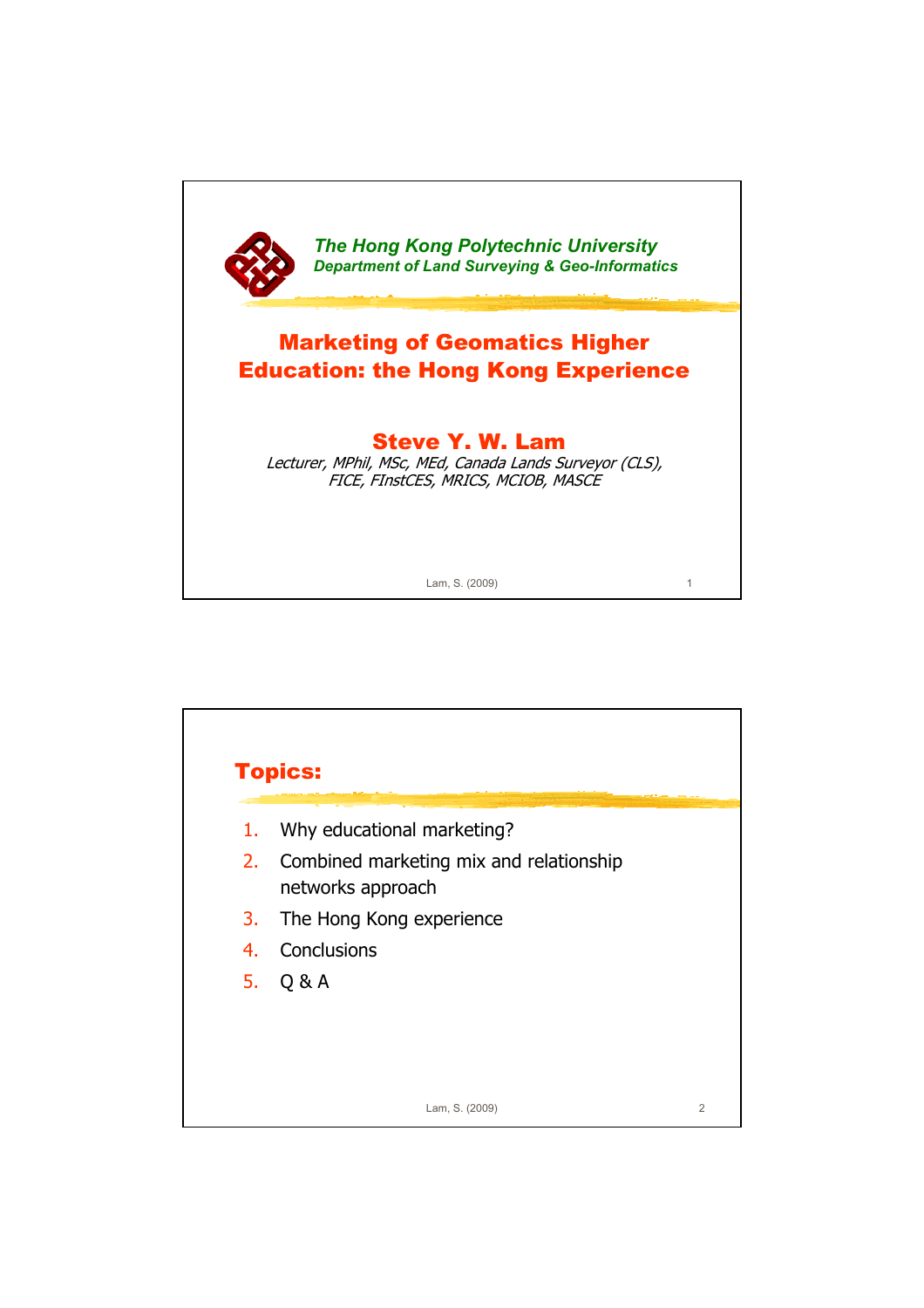

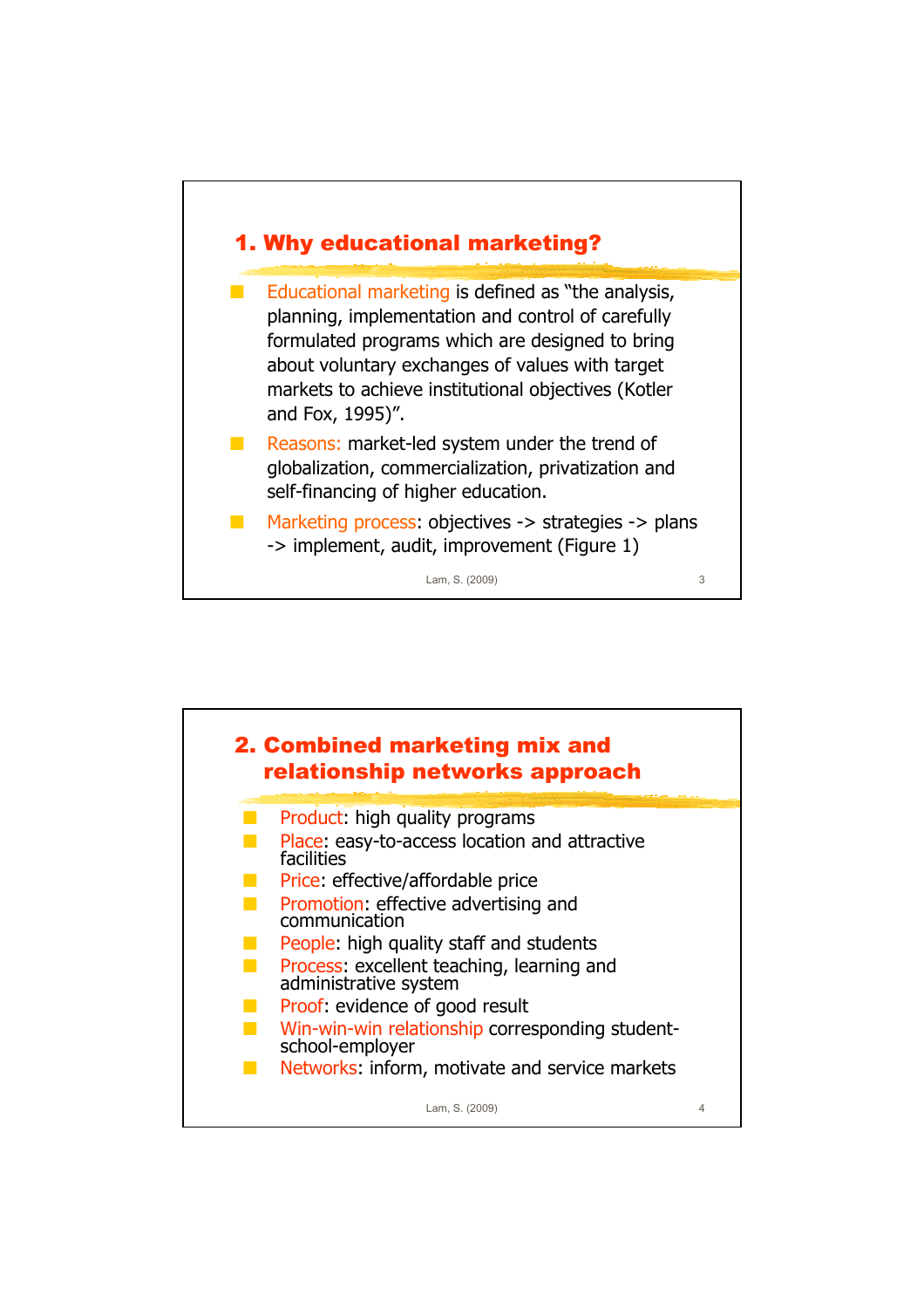

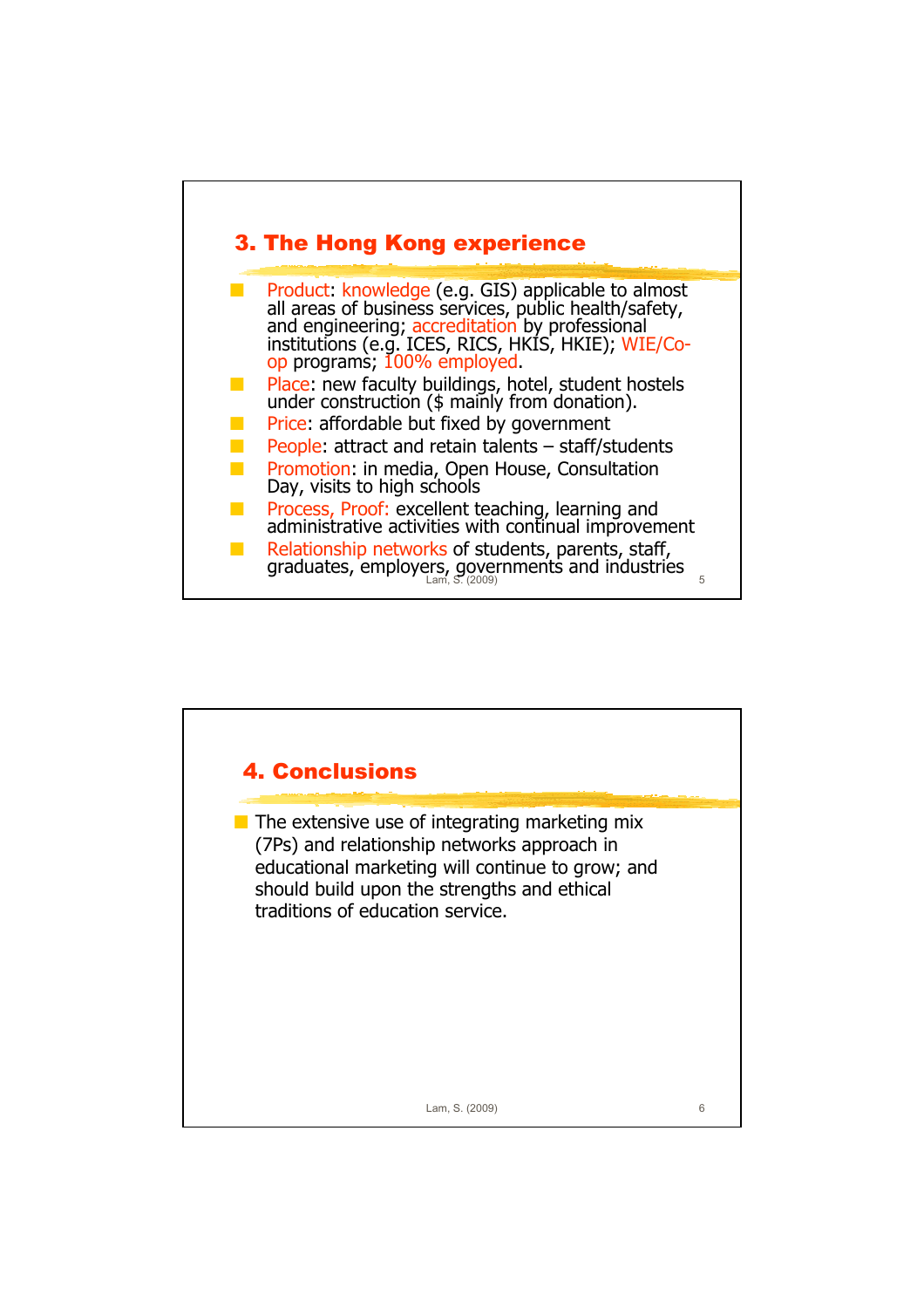